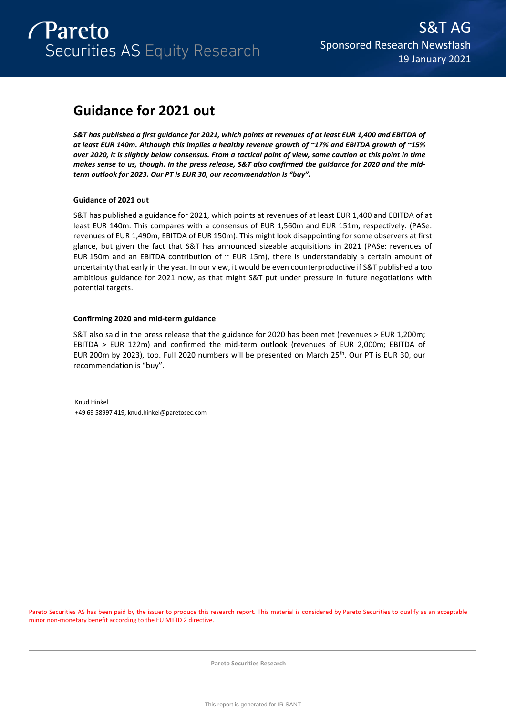

# **Guidance for 2021 out**

*S&T has published a first guidance for 2021, which points at revenues of at least EUR 1,400 and EBITDA of at least EUR 140m. Although this implies a healthy revenue growth of ~17% and EBITDA growth of ~15% over 2020, it is slightly below consensus. From a tactical point of view, some caution at this point in time makes sense to us, though. In the press release, S&T also confirmed the guidance for 2020 and the midterm outlook for 2023. Our PT is EUR 30, our recommendation is "buy".* 

### **Guidance of 2021 out**

S&T has published a guidance for 2021, which points at revenues of at least EUR 1,400 and EBITDA of at least EUR 140m. This compares with a consensus of EUR 1,560m and EUR 151m, respectively. (PASe: revenues of EUR 1,490m; EBITDA of EUR 150m). This might look disappointing for some observers at first glance, but given the fact that S&T has announced sizeable acquisitions in 2021 (PASe: revenues of EUR 150m and an EBITDA contribution of  $\sim$  EUR 15m), there is understandably a certain amount of uncertainty that early in the year. In our view, it would be even counterproductive if S&T published a too ambitious guidance for 2021 now, as that might S&T put under pressure in future negotiations with potential targets.

### **Confirming 2020 and mid-term guidance**

S&T also said in the press release that the guidance for 2020 has been met (revenues > EUR 1,200m; EBITDA > EUR 122m) and confirmed the mid-term outlook (revenues of EUR 2,000m; EBITDA of EUR 200m by 2023), too. Full 2020 numbers will be presented on March 25<sup>th</sup>. Our PT is EUR 30, our recommendation is "buy".

Knud Hinkel +49 69 58997 419, knud.hinkel@paretosec.com

Pareto Securities AS has been paid by the issuer to produce this research report. This material is considered by Pareto Securities to qualify as an acceptable minor non-monetary benefit according to the EU MIFID 2 directive.

**Pareto Securities Research**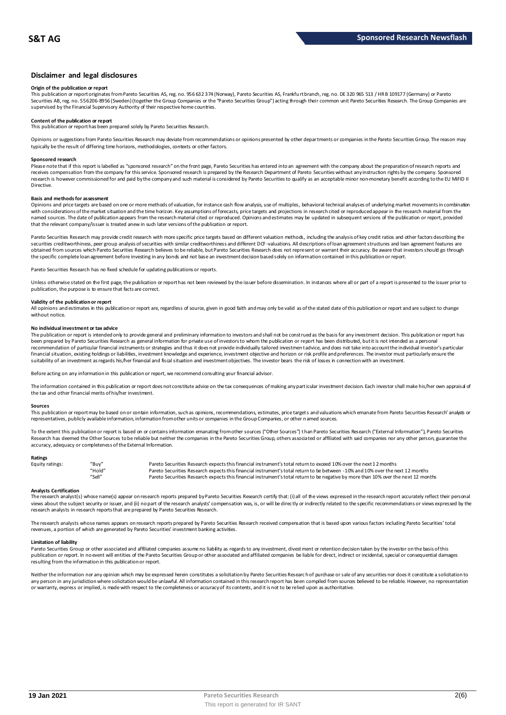### **Disclaimer and legal disclosures**

### **Origin of the publication or report**

This publication or report originates from Pareto Securities AS, reg. no. 956 632 374 (Norway), Pareto Securities AS, Frankfu rt branch, reg. no. DE 320 965 513 / HR B 109177 (Germany) or Pareto Securities AB, reg. no. 556206-8956 (Sweden) (together the Group Companies or the "Pareto Securities Group") acting through their common unit Pareto Securities Research. The Group Companies are<br>supervised by the Financial

### **Content of the publication or report**

This publication or report has been prepared solely by Pareto Securities Research.

Opinions or suggestions from Pareto Securities Research may deviate from recommendations or opinions presented by other departments or companies in the Pareto Securities Group. The reason may typically be the result of differing time horizons, methodologies, contexts or other factors.

#### **Sponsored research**

Please note that if this report is labelled as "sponsored research" on the front page, Pareto Securities has entered into an agreement with the company about the preparation of research reports and<br>receives compensation fr research is however commissioned for and paid by the company and such material is considered by Pareto Securities to qualify as an acceptable minor non-monetary benefit according to the EU MiFID II Directive.

#### **Basis and methods for assessment**

Opinions and price targets are based on one or more methods of valuation, for instance cash flow analysis, use of multiples, behavioral technical analyses of underlying market movements in combination with considerations of the market situation and the time horizon. Key assumptions of forecasts, price targets and projections in research cited or reproduced appear in the research material from the named sources. The date of publication appears from the research material cited or reproduced. Opinions and estimates may be updated in subsequent versions of the publication or report, provided that the relevant company/issuer is treated anew in such later versions of the publication or report.

Pareto Securities Research may provide credit research with more specific price targets based on different valuation methods, including the analysis of key credit ratios and other factors describing the securities creditworthiness, peer group analysis of securities with similar creditworthiness and different DCF-valuations. All descriptions of loan agreement structures and loan agreement features are obtained from sources which Pareto Securities Research believes to be reliable, but Pareto Securities Research does not represent or warrant their accuracy. Be aware that investors should go through the specific complete loan agreement before investing in any bonds and not base an investment decision based solely on information contained in this publication or report.

Pareto Securities Research has no fixed schedule for updating publications or reports.

Unless otherwise stated on the first page, the publication or report has not been reviewed by the issuer before dissemination. In instances where all or part of a report is presented to the issuer prior to publication, the purpose is to ensure that facts are correct.

### **Validity of the publication or report**

All opinions and estimates in this publication or report are, regardless of source, given in good faith and may only be valid as of the stated date of this publication or report and are subject to change without notice.

#### **No individual investment or tax advice**

The publication or report is intended only to provide general and preliminary information to investors and shall not be construed as the basis for any investment decision. This publication or report has<br>been prepared by Pa recommendation of particular financial instruments or strategies and thus it does not provide individually tailored investmen t advice, and does not take into account the individual investor's particular financial situation, existing holdings or liabilities, investment knowledge and experience, investment objective and horizon or risk profile and preferences. The investor must particularly ensure the suitability of an investment as regards his/her financial and fiscal situation and investment objectives. The investor bears the risk of losses in connection with an investment.

Before acting on any information in this publication or report, we recommend consulting your financial advisor.

The information contained in this publication or report does not constitute advice on the tax consequences of making any particular investment decision. Each investor shall make his/her own appraisal of the tax and other financial merits of his/her investment.

#### **Sources**

This publication or report may be based on or contain information, such as opinions, recommendations, estimates, price targets and valuations which emanate from Pareto Securities Research' analysts or representatives, publicly available information, information from other units or companies in the Group Companies, or other named sources.

To the extent this publication or report is based on or contains information emanating from other sources ("Other Sources") than Pareto Securities Research ("External Information"), Pareto Securities Research has deemed the Other Sources to be reliable but neither the companies in the Pareto Securities Group, others associated or affiliated with said companies nor any other person, guarantee the accuracy, adequacy or completeness of the External Information.

#### **Ratings**

| Equity ratings: | "Buy"  | Pareto Securities Research expects this financial instrument's total return to exceed 10% over the next 12 months                   |
|-----------------|--------|-------------------------------------------------------------------------------------------------------------------------------------|
|                 | "Hold" | Pareto Securities Research expects this financial instrument's total return to be between -10% and 10% over the next 12 months      |
|                 | "Sell" | Pareto Securities Research expects this financial instrument's total return to be negative by more than 10% over the next 12 months |

**Analysts Certification**<br>The research analystis) whose name(s) appear on research reports prepared by Pareto Securities Research certify that: (i) all of the views expressed in the research report accurately reflect their "Hold"<br>"Sell" Pareto Securities Research expects this financial instrument's total return to be between -10% and 10% over the next 12 months<br>"Sell" Pareto Securities Research expects this financial instrument's total retur research analysts in research reports that are prepared by Pareto Securities Research.

The research analysts whose names appears on research reports prepared by Pareto Securities Research received compensation that is based upon various factors including Pareto Securities' total<br>revenues, a portion of which

#### **Limitation of liability**

Pareto Securities Group or other associated and affiliated companies assume no liability as regards to any investment, divestment or retention decision taken by the investor on the basis of this publication or report. In no event will entities of the Pareto Securities Group or other associated and affiliated companies be liable for direct, indirect or incidental, special or consequential damages resulting from the information in this publication or report.

Neither the information nor any opinion which may be expressed herein constitutes a solicitation by Pareto Securities Research of purchase or sale of any securities nor does it constitute a solicitation to any person in any jurisdiction where solicitation would be unlawful. All information contained in this research report has been compiled from sources believed to be reliable. However, no representation or warranty, express or implied, is made with respect to the completeness or accuracy of its contents, and it is not to be relied upon as authoritative.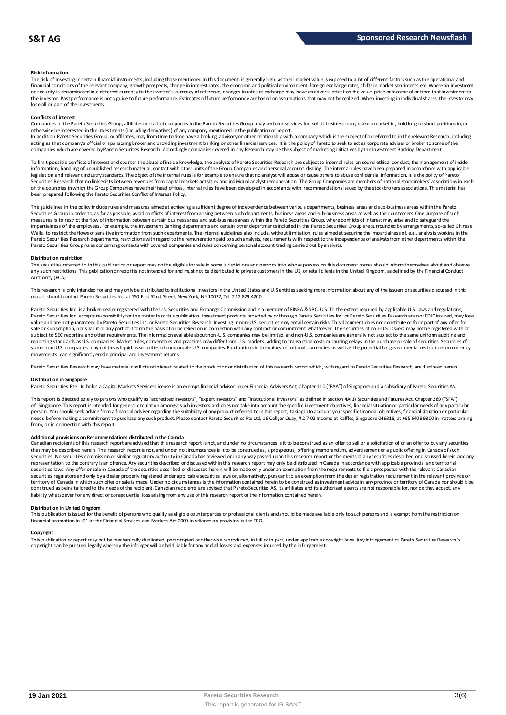#### **Risk information**

The risk of investing in certain financial instruments, including those mentioned in this document, is generally high, as their market value is exposed to a bt of different factors such as the operational and financial conditions of the relevant company, growth prospects, change in interest rates, the economic and political environment, foreign exchange rates, shifts in market sentiments etc. Where an investment or security is denominated in a different currency to the investor's currency of reference, changes in rates of exchange may have an adverse effect on the value, price or income of or from that investment to the investor. Past performance is not a guide to future performance. Estimates of future performance are based on assumptions that may not be realized. When investing in individual shares, the investor may lose all or part of the investments.

#### **Conflicts of interest**

Companies in the Pareto Securities Group, affiliates or staff of companies in the Pareto Securities Group, may perform services for, solicit business from, make a market in, hold long or short positions in, or otherwise be interested in the investments (including derivatives) of any company mentioned in the publication or report.<br>In addition Pareto Securities Group, or affiliates, may from time to time have a broking, advisory o

acting as that company's official or sponsoring broker and providing investment banking or other financial services. It is the policy of Pareto to seek to act as corporate adviser or broker to some of the companies which are covered by Pareto Securities Research. Accordingly companies covered in any Research may be the subject o f marketing initiatives by the Investment Banking Department.

To limit possible conflicts of interest and counter the abuse of inside knowledge, the analysts of Pareto Securities Research are subject to internal rules on sound ethical conduct, the management of inside information, handling of unpublished research material, contact with other units of the Group Companies and personal account dealing. The internal rules have been prepared in accordance with applicable legislation and relevant industry standards. The object of the internal rules is for example to ensure that no analyst will abuse or cause others to abuse confidential information. It is the policy of Pareto Securities Research that no link exists between revenues from capital markets activities and individual analyst remuneration. The Group Companies are members of national stockbrokers' associations in each of the countries in which the Group Companies have their head offices. Internal rules have been developed in accordance with recommendations issued by the stockbrokers associations. This material has been prepared following the Pareto Securities Conflict of Interest Policy.

The guidelines in the policy indude rules and measures aimed at achieving a sufficient degree of independence between various departments, business areas and sub-business areas within the Pareto Securities Group in order to, as far as possible, avoid conflicts of interest from arising between such departments, business areas and sub-business areas as well as their customers. One purpose of such measures is to restrict the flow of information between certain business areas and sub-business areas within the Pareto Securities Group, where conflicts of interest may arise and to safeguard the<br>impartialness of the empl The guidelines in the policy indude rules and measures aimed at achieving a sufficient degree of independence between various departments, business areas and sub-business areas within the Pareto<br>Securities Group in order t Pareto Securities Group rules concerning contacts with covered companies and rules concerning personal account trading carried out by analysts.

#### **Distribution restriction**

The securities referred to in this publication or report may not be eligible for sale in some jurisdictions and persons into whose possession this document comes should inform themselves about and observe Pareto Securities Group rules concerning contacts with covered companies and rules concerning personal account trading carried out by analysts.<br>Distribution restriction<br>The securities referred to in this publication or rep Authority (FCA).

This research is only intended for and may only be distributed to institutional investors in the United States and U.S entities seeking more information about any of the issuers or securities discussed in this report should contact Pareto Securities Inc. at 150 East 52nd Street, New York, NY 10022, Tel. 212 829 4200.

Pareto Securities Inc. is a broker-dealer registered with the U.S. Securities and Exchange Commission and is a member of FINRA & SIPC. U.S. To the extent required by applicable U.S. laws and regulations, Pareto Securities Inc. accepts responsibility for the contents of this publication. Investment products provided by or through Pareto Securities Inc. or Pareto Securities Research are not FDIC insured, may lose<br>value and a sale or subscription, nor shall it or any part of it form the basis of or be relied on in connection with any contract or commitment whatsoever. The securities of non-U.S. issuers may not be registered with or subject to SEC reporting and other requirements. The information available about non-U.S. companies may be limited, and non-U.S. companies are generally not subject to the same unifom auditing and<br>reporting standards as U some non-U.S. companies may not be as liquid as securities of comparable U.S. companies. Fluctuations in the values of national currencies, as well as the potential for governmental restrictions on currency movements, can significantly erode principal and investment returns.

Pareto Securities Research may have material conflicts of interest related to the production or distribution of this research report which, with regard to Pareto Securities Research, are disclosed herein.

#### **Distribution in Singapore**

Pareto Securities Pte Ltd holds a Capital Markets Services License is an exempt financial advisor under Financial Advisers Ac t, Chapter 110 ("FAA") of Singapore and a subsidiary of Pareto Securities AS.

This report is directed solely to persons who qualify as "accredited investors", "expert investors" and "institutional investors" as defined in section 4A(1) Securities and Futures Act, Chapter 289 ("SFA") Distribution in Singapore<br>Pareto Securities Pte Ltd holds a Capital Markets Services License is an exempt financial advisor under Financial Advisers Act, Chapter 110 ("FAA") of Singapore and a subsidiary of Pareto Securiti person. You should seek advice from a financial adviser regarding the suitability of any product referred to in this report, taking into account your specific financial objectives, financial situation or particular needs before making a commitment to purchase any such product. Please contact Pareto Securities Pte Ltd, 16 Collyer Quay, # 2 7-02 Income at Raffles, Singapore 049318, at +65 6408 9800 in matters arising<br>from, or in connec

#### **Additional provisions on Recommendations distributed in the Canada**

needs before making a commitment to purchase any such product. Please contact Pareto Securities Pte Ltd, 16 Collyer Quay, #2 7-02 Income at Raffles, Singapore 049318, at +65 6408 9800 in matters arisin<br>from, or in connecti That may be described herein. This research report are advised that this research report is not, and under no circumstances is it to be construed as an offer to sell or a solicitation of or an offer to buy any securities<br>t securities. No securities commission or similar regulatory authority in Canada has reviewed or in any way passed upon this research report or the merits of any securities described or discussed herein and any representation to the contrary is an offence. Any securities described or discussed within this research report may only be distributed in Canada in accordance with applicable provincial and territorial securities laws. Any offer or sale in Canada of the securities described or discussed herein will be made only under an exemption from the requirements to file a prospectus with the relevant Canadian securities regulators and only by a dealer properly registered under applicable securities laws or, alternatively, pursuant to an exemption from the dealer registration requirement in the relevant province or territory of Canada in which such offer or sale is made. Under no circumstances is the information contained herein to be construed as investment advice in any province or territory of Canada nor should it be construed as being tailored to the needs of the recipient. Canadian recipients are advised that Pareto Securities AS, its affiliates and its authorized agents are not responsible for, nor do they accept, any liability whatsoever for any direct or consequential loss arising from any use of this research report or the information contained herein.

### **Distribution in United Kingdom**

This publication is issued for the benefit of persons who qualify as eligible counterparties or professional dients and should be made available only to such persons and is exempt from the restriction on financial promotion in s21 of the Financial Services and Markets Act 2000 in reliance on provision in the FPO. This publication is issued for the benefit of persons who qualify as eligible counterparties or professional dients and should be made available only to such persons and is exempt from the restriction on<br>financial promotio

#### **Copyright**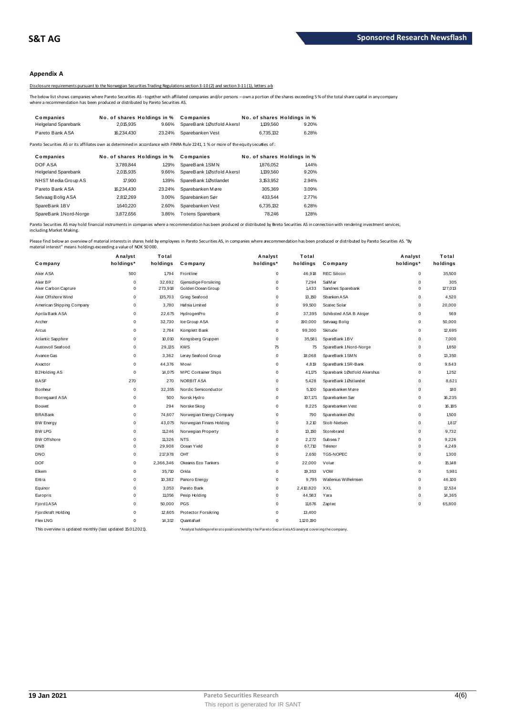### **Appendix A**

Disclosure requirements pursuant to the Norwegian Securities Trading Regulations section 3-10 (2) and section 3-11 (1), letters a-b

The below list shows companies where Pareto Securities AS - together with affiliated companies and/or persons – own a portion of the shares exceeding 5 % of the total share capital in any company<br>where a recommendation has

|                                                                                  |                                       |        | Disclosure requirements bursuant to the Norwegian Securities Trading Regulations section 3-10(2) and section 3-11(1). Jetters a-b                       |                             |       |
|----------------------------------------------------------------------------------|---------------------------------------|--------|---------------------------------------------------------------------------------------------------------------------------------------------------------|-----------------------------|-------|
| where a recommendation has been produced or distributed by Pareto Securities AS. |                                       |        | The below list shows companies where Pareto Securities AS - together with affiliated companies and/or persons – own a portion of the shares exceeding 5 |                             |       |
| Companies                                                                        | No. of shares Holdings in % Companies |        |                                                                                                                                                         | No. of shares Holdings in % |       |
| <b>Helgeland Sparebank</b>                                                       | 2.015.935                             | 9.66%  | SpareBank 1Østfold Akersh                                                                                                                               | 1,139,560                   | 9.20% |
| Pareto Bank ASA                                                                  | 16.234.430                            | 23.24% | Sparebanken Vest                                                                                                                                        | 6.735.132                   | 6.28% |
|                                                                                  |                                       |        |                                                                                                                                                         |                             |       |

| i ieigeidilu opaiebalin    | 2.U N.JJJ  | <b>3.0070</b>               | <b>SPAILD AIR ILLUSTION AND ST</b>                                                                                                     | 1. 133.300 | <b>J.LU /0</b>              |
|----------------------------|------------|-----------------------------|----------------------------------------------------------------------------------------------------------------------------------------|------------|-----------------------------|
| Pareto Bank ASA            | 16.234.430 | 23.24%                      | Sparebanken Vest                                                                                                                       | 6.735.132  | 6.28%                       |
|                            |            |                             | Pareto Securities AS or its affiliates own as determined in accordance with FINRA Rule 2241, 1 % or more of the equity securities of : |            |                             |
| Companies                  |            | No. of shares Holdings in % | Companies                                                                                                                              |            | No. of shares Holdings in % |
| DOF ASA                    | 3.789.844  | 1.29%                       | SpareBank 1SMN                                                                                                                         | 1.876.052  | 1.44%                       |
| <b>Helgeland Sparebank</b> | 2,015,935  | 9.66%                       | SpareBank 1Østfold Akersl                                                                                                              | 1,139,560  | 9.20%                       |
| NHST Media Group AS        | 17,900     | 139%                        | SpareBank 1Østlandet                                                                                                                   | 3,153,952  | 2.94%                       |
| Pareto Bank ASA            | 16,234,430 | 23.24%                      | Sparebanken Møre                                                                                                                       | 305.369    | 3.09%                       |
| Selvaag Bolig ASA          | 2.812.269  | 3.00%                       | Sparebanken Sør                                                                                                                        | 433.544    | 2.77%                       |
| SpareBank 1BV              | 1,640.220  | 2.60%                       | Sparebanken Vest                                                                                                                       | 6.735.132  | 6.28%                       |
| SpareBank 1Nord-Norge      | 3.872.656  | 3.86%                       | <b>Totens Sparebank</b>                                                                                                                | 78.246     | 1.28%                       |
|                            |            |                             |                                                                                                                                        |            |                             |

Pareto Securities AS may hold financial instruments in companies where a recommendation has been produced or distributed by Pareto Securities AS in connection with rendering investment services, including Market Making.

| naterial interest" means holdings exceeding a value of NOK 50 000. |             |           |                          |             |           |                             |             |          |
|--------------------------------------------------------------------|-------------|-----------|--------------------------|-------------|-----------|-----------------------------|-------------|----------|
|                                                                    | Analyst     | Total     |                          | Analyst     | Total     |                             | Analyst     | Total    |
| Company                                                            | holdings*   | holdings  | Company                  | holdings*   | holdings  | Company                     | holdings*   | holdings |
| Aker ASA                                                           | 500         | 1,794     | Frontline                | 0           | 46,918    | <b>REC Silicon</b>          | $\mathsf 0$ | 35,500   |
| Aker BP                                                            | $\mathbf 0$ | 32,692    | Gjensidige Forsikring    | 0           | 7,294     | SalM ar                     | $\mathbf 0$ | 305      |
| Aker Carbon Capture                                                | $\mathbf 0$ | 273,918   | Golden Ocean Group       | $\Omega$    | 1,433     | Sandnes Sparebank           | $\Omega$    | 127,013  |
| Aker Offshore Wind                                                 | $\mathbf 0$ | 135,703   | Grieg Seafood            | 0           | 13,150    | Sbanken ASA                 | $\mathbf 0$ | 4,520    |
| American Shipping Company                                          | $\mathbf 0$ | 3,780     | Hafnia Limited           | 0           | 99,500    | Scatec Solar                | $\mathbf 0$ | 20,000   |
| Aprila Bank ASA                                                    | $\mathbf 0$ | 22,675    | HydrogenPro              | $\mathbf 0$ | 37,395    | Schibsted ASA B Aksjer      | $\mathsf 0$ | 569      |
| Archer                                                             | $\mathbf 0$ | 32,730    | Ice Group ASA            | $\mathbf 0$ | 190,000   | Selvaag Bolig               | $\mathbf 0$ | 50,000   |
| Arcus                                                              | $\mathbf 0$ | 2,784     | Komplett Bank            | 0           | 99,300    | Skitude                     | $\mathsf 0$ | 12,695   |
| Atlantic Sapphire                                                  | $\mathbf 0$ | 10,010    | Kongsberg Gruppen        | 0           | 35,581    | SpareBank 1BV               | 0           | 7,000    |
| Austevoll Seafood                                                  | $\mathbf 0$ | 29,135    | <b>KWS</b>               | 75          | 75        | SpareBank 1 Nord-Norge      | $\mathsf 0$ | 1,850    |
| Avance Gas                                                         | $\mathbf 0$ | 3,362     | Lerøy Seafood Group      | $\mathbf 0$ | 18,068    | SpareBank 1 SMN             | $\mathbf 0$ | 13,350   |
| Axactor                                                            | $\mathbf 0$ | 44,376    | M owi                    | 0           | 4,819     | SpareBank 1 SR-Bank         | 0           | 9,643    |
| <b>B2Holding AS</b>                                                | $\mathbf 0$ | 14,075    | M PC Container Ships     | 0           | 41,175    | Sparebank 1Østfold Akershus | $\mathsf 0$ | 1,252    |
| <b>BASF</b>                                                        | 270         | 270       | <b>NORBIT ASA</b>        | 0           | 5,428     | SpareBank 1Østlandet        | $\mathbf 0$ | 8,621    |
| Bonheur                                                            | $\mathbf 0$ | 32,355    | Nordic Semiconductor     | $\mathbf 0$ | 5,100     | Sparebanken Møre            | $\mathbf 0$ | 180      |
| Borregaard ASA                                                     | $\mathbf 0$ | 500       | Norsk Hydro              | 0           | 107,171   | Sparebanken Sør             | 0           | 16,235   |
| Bouvet                                                             | 0           | 294       | Norske Skog              | 0           | 8,225     | Sparebanken Vest            | $\mathsf 0$ | 16,185   |
| <b>BRABank</b>                                                     | 0           | 74,607    | Norwegian Energy Company | 0           | 790       | Sparebanken Øst             | $\mathsf 0$ | 1,500    |
| <b>BW</b> Energy                                                   | $\mathbf 0$ | 43,075    | Norwegian Finans Holding | 0           | 3,210     | Stolt-Nielsen               | $\mathsf 0$ | 1,817    |
| <b>BW LPG</b>                                                      | $\mathbf 0$ | 11,246    | Norwegian Property       | 0           | 13,150    | Storebrand                  | $\mathbf 0$ | 9,732    |
| <b>BW Offshore</b>                                                 | $\mathbf 0$ | 11,326    | <b>NTS</b>               | $\Omega$    | 2,272     | Subsea 7                    | $\mathbf 0$ | 9,226    |
| <b>DNB</b>                                                         | $\mathbf 0$ | 29,908    | Ocean Yield              | $\Omega$    | 67,710    | Telenor                     | $\Omega$    | 4,249    |
| <b>DNO</b>                                                         | $\mathbf 0$ | 217,978   | OHT                      | 0           | 2,650     | <b>TGS-NOPEC</b>            | $\mathbf 0$ | 1,300    |
| <b>DOF</b>                                                         | $\mathbf 0$ | 2,366,346 | Okeanis Eco Tankers      | 0           | 22,000    | Volue                       | $\mathbf 0$ | 15,148   |
| Elkem                                                              | $\mathbf 0$ | 35,710    | Orkla                    | 0           | 19,353    | <b>VOW</b>                  | $\mathbf 0$ | 5,981    |
| Entra                                                              | $\mathbf 0$ | 10,382    | Panoro Energy            | 0           | 9,795     | Wallenius Wilhelmsen        | $\mathbf 0$ | 46,100   |
| Equinor                                                            | $\mathbf 0$ | 3,053     | Pareto Bank              | 0           | 2,410,820 | XXL                         | $\mathsf 0$ | 12,534   |
| Europris                                                           | $\mathbf 0$ | 11,056    | Pexip Holding            | 0           | 44,583    | Yara                        | $\mathbf 0$ | 14,365   |
| Fjord1ASA                                                          | $\mathbf 0$ | 50,000    | PGS                      | 0           | 11,676    | Zaptec                      | 0           | 65,800   |
| Fjordkraft Holding                                                 | $\mathbf 0$ | 12,605    | Protector Forsikring     | 0           | 13,400    |                             |             |          |
| <b>Flex LNG</b>                                                    | $\Omega$    | 14,312    | Quant af uel             | 0           | 1,120,190 |                             |             |          |
|                                                                    |             |           |                          |             |           |                             |             |          |

This overview is updated monthly (last updated 15.01.2021). \*Analyst holdings ref ers t o posit ions held by t he Paret o Securit ies AS analyst covering t he company.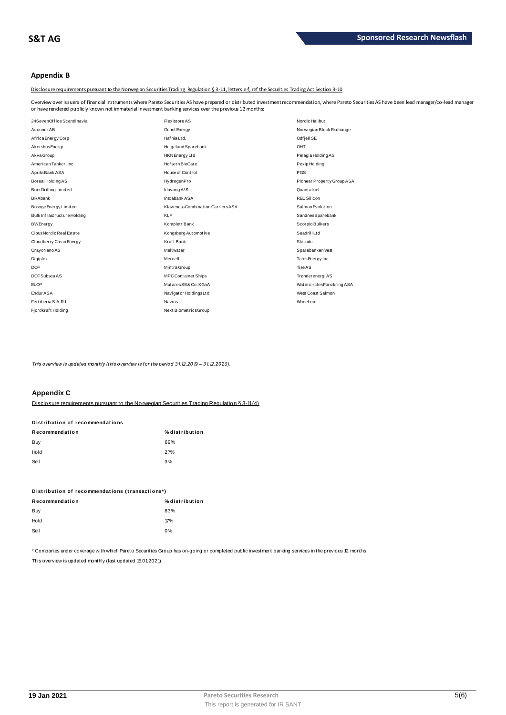## **Appendix B**

Disclosure requirements pursuant to the Norwegian Securities Trading Regulation § 3-11, letters e-f, ref the Securities Trading Act Section 3-10

Overview over issuers of financial instruments where Pareto Securities AS have prepared or distributed investment recommendation, where Pareto Securities AS have been lead manager/co-lead manager<br>or have rendered publicly or have rendered publicly known not immaterial investment banking services over the previous 12 months:

| 24SevenOffice Scandinavia   | <b>Flexistore AS</b>               | Nordic Halibut             |
|-----------------------------|------------------------------------|----------------------------|
| Acconer AB                  | Genel Energy                       | Norwegian Block Exchange   |
| Africa Energy Corp          | Hafnia Ltd.                        | Odf jell SE                |
| Akershus Energi             | Helgeland Sparebank                | OHT                        |
| Akva Group                  | HKN Energy Ltd                     | Pelagia Holding AS         |
| American Tanker, Inc.       | Hof set h BioCare                  | Pexip Holding              |
| Aprila Bank ASA             | House of Control                   | <b>PGS</b>                 |
| Boreal Holding AS           | HydrogenPro                        | Pioneer Property Group ASA |
| Borr Drilling Limited       | Idavang A/S                        | Quantafuel                 |
| <b>BRAbank</b>              | Instabank ASA                      | <b>REC Silicon</b>         |
| Brooge Energy Limited       | Klaveness Combination Carriers ASA | Salmon Evolution           |
| Bulk Infrastructure Holding | <b>KLP</b>                         | SandnesSparebank           |
| <b>BWEnergy</b>             | Komplett Bank                      | Scorpio Bulkers            |
| Cibus Nordic Real Estate    | Kongsberg Automotive               | SeadrillLtd                |
| Cloudberry Clean Energy     | Kraft Bank                         | Skitude                    |
| CrayoNano AS                | Meltwater                          | Sparebanken Vest           |
| Digiplex                    | Mercell                            | Talos Energy Inc           |
| <b>DOF</b>                  | Mint ra Group                      | Tise AS                    |
| DOF Subsea AS               | <b>MPC Container Ships</b>         | Trønderenergi AS           |
| <b>ELOP</b>                 | MutaresSE& Co. KGaA                | WatercirclesForsikring ASA |
| Endur ASA                   | Navigator Holdings Ltd.            | West Coast Salmon          |
| Fertiberia S.A.R.L.         | <b>Navios</b>                      | Wheel.me                   |
| Fjordkraft Holding          | Next BiometricsGroup               |                            |
|                             |                                    |                            |

*This overview is updated monthly (this overview is for the period 31.12.2019 – 31.12.2020).*

### **Appendix C**

| <b>APPOINING</b>                |                                                                                            |
|---------------------------------|--------------------------------------------------------------------------------------------|
|                                 | Disclosure requirements pursuant to the Norwegian Securities Trading Requilation § 3-11(4) |
| Distribution of recommendations |                                                                                            |
| Recommendation                  | % distribution                                                                             |
| Buy                             | 69%                                                                                        |
| Hold                            | 27%                                                                                        |
| Sell                            | 3%                                                                                         |
|                                 |                                                                                            |

| ັບບ                                             | $\mathsf{v}$   |
|-------------------------------------------------|----------------|
| Distribution of recommendations (transactions*) |                |
| Recommendation                                  | % distribution |
| Buy                                             | 83%            |
| Hold                                            | 17%            |
| Sell                                            | 0%             |
|                                                 |                |

\* Companies under coverage with which Pareto Securities Group has on-going or completed public investment banking services in the previous 12 months This overview is updated monthly (last updated 15.01.2021).